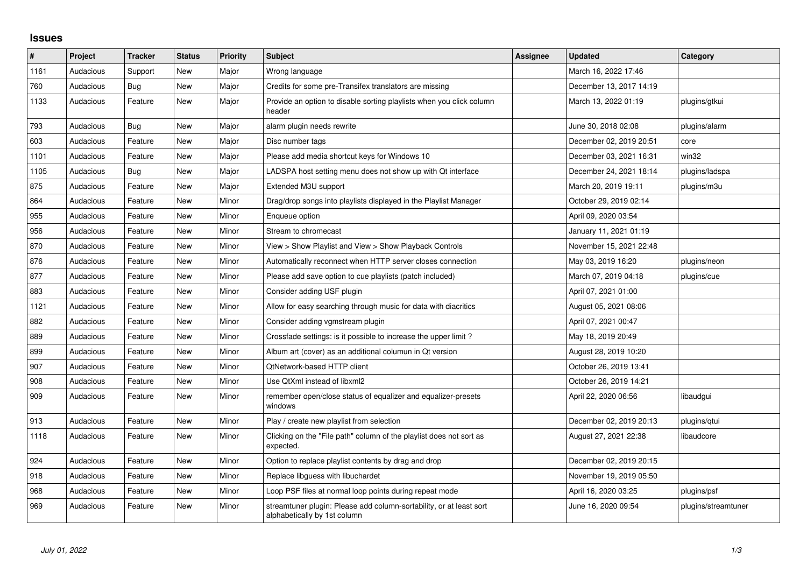## **Issues**

| #    | Project   | Tracker    | <b>Status</b> | <b>Priority</b> | <b>Subject</b>                                                                                      | Assignee | <b>Updated</b>          | Category            |
|------|-----------|------------|---------------|-----------------|-----------------------------------------------------------------------------------------------------|----------|-------------------------|---------------------|
| 1161 | Audacious | Support    | <b>New</b>    | Major           | Wrong language                                                                                      |          | March 16, 2022 17:46    |                     |
| 760  | Audacious | <b>Bug</b> | <b>New</b>    | Major           | Credits for some pre-Transifex translators are missing                                              |          | December 13, 2017 14:19 |                     |
| 1133 | Audacious | Feature    | <b>New</b>    | Major           | Provide an option to disable sorting playlists when you click column<br>header                      |          | March 13, 2022 01:19    | plugins/gtkui       |
| 793  | Audacious | Bug        | New           | Major           | alarm plugin needs rewrite                                                                          |          | June 30, 2018 02:08     | plugins/alarm       |
| 603  | Audacious | Feature    | New           | Major           | Disc number tags                                                                                    |          | December 02, 2019 20:51 | core                |
| 1101 | Audacious | Feature    | <b>New</b>    | Major           | Please add media shortcut keys for Windows 10                                                       |          | December 03, 2021 16:31 | win32               |
| 1105 | Audacious | Bug        | New           | Major           | LADSPA host setting menu does not show up with Qt interface                                         |          | December 24, 2021 18:14 | plugins/ladspa      |
| 875  | Audacious | Feature    | <b>New</b>    | Major           | Extended M3U support                                                                                |          | March 20, 2019 19:11    | plugins/m3u         |
| 864  | Audacious | Feature    | <b>New</b>    | Minor           | Drag/drop songs into playlists displayed in the Playlist Manager                                    |          | October 29, 2019 02:14  |                     |
| 955  | Audacious | Feature    | <b>New</b>    | Minor           | Enqueue option                                                                                      |          | April 09, 2020 03:54    |                     |
| 956  | Audacious | Feature    | <b>New</b>    | Minor           | Stream to chromecast                                                                                |          | January 11, 2021 01:19  |                     |
| 870  | Audacious | Feature    | New           | Minor           | View > Show Playlist and View > Show Playback Controls                                              |          | November 15, 2021 22:48 |                     |
| 876  | Audacious | Feature    | <b>New</b>    | Minor           | Automatically reconnect when HTTP server closes connection                                          |          | May 03, 2019 16:20      | plugins/neon        |
| 877  | Audacious | Feature    | <b>New</b>    | Minor           | Please add save option to cue playlists (patch included)                                            |          | March 07, 2019 04:18    | plugins/cue         |
| 883  | Audacious | Feature    | New           | Minor           | Consider adding USF plugin                                                                          |          | April 07, 2021 01:00    |                     |
| 1121 | Audacious | Feature    | <b>New</b>    | Minor           | Allow for easy searching through music for data with diacritics                                     |          | August 05, 2021 08:06   |                     |
| 882  | Audacious | Feature    | New           | Minor           | Consider adding vgmstream plugin                                                                    |          | April 07, 2021 00:47    |                     |
| 889  | Audacious | Feature    | <b>New</b>    | Minor           | Crossfade settings: is it possible to increase the upper limit?                                     |          | May 18, 2019 20:49      |                     |
| 899  | Audacious | Feature    | New           | Minor           | Album art (cover) as an additional columun in Qt version                                            |          | August 28, 2019 10:20   |                     |
| 907  | Audacious | Feature    | <b>New</b>    | Minor           | <b>QtNetwork-based HTTP client</b>                                                                  |          | October 26, 2019 13:41  |                     |
| 908  | Audacious | Feature    | New           | Minor           | Use QtXml instead of libxml2                                                                        |          | October 26, 2019 14:21  |                     |
| 909  | Audacious | Feature    | New           | Minor           | remember open/close status of equalizer and equalizer-presets<br>windows                            |          | April 22, 2020 06:56    | libaudgui           |
| 913  | Audacious | Feature    | <b>New</b>    | Minor           | Play / create new playlist from selection                                                           |          | December 02, 2019 20:13 | plugins/qtui        |
| 1118 | Audacious | Feature    | New           | Minor           | Clicking on the "File path" column of the playlist does not sort as<br>expected.                    |          | August 27, 2021 22:38   | libaudcore          |
| 924  | Audacious | Feature    | <b>New</b>    | Minor           | Option to replace playlist contents by drag and drop                                                |          | December 02, 2019 20:15 |                     |
| 918  | Audacious | Feature    | New           | Minor           | Replace libguess with libuchardet                                                                   |          | November 19, 2019 05:50 |                     |
| 968  | Audacious | Feature    | <b>New</b>    | Minor           | Loop PSF files at normal loop points during repeat mode                                             |          | April 16, 2020 03:25    | plugins/psf         |
| 969  | Audacious | Feature    | New           | Minor           | streamtuner plugin: Please add column-sortability, or at least sort<br>alphabetically by 1st column |          | June 16, 2020 09:54     | plugins/streamtuner |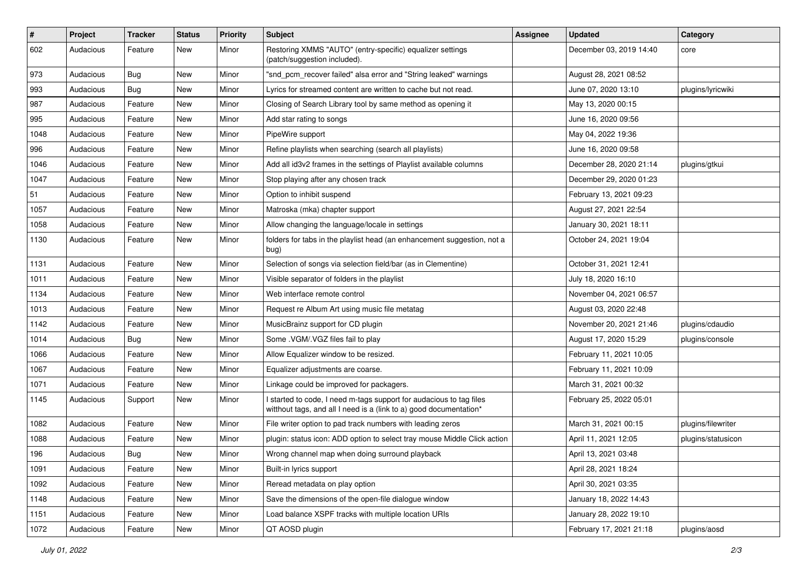| $\#$ | Project   | <b>Tracker</b> | <b>Status</b> | <b>Priority</b> | Subject                                                                                                                                   | <b>Assignee</b> | <b>Updated</b>          | Category           |
|------|-----------|----------------|---------------|-----------------|-------------------------------------------------------------------------------------------------------------------------------------------|-----------------|-------------------------|--------------------|
| 602  | Audacious | Feature        | New           | Minor           | Restoring XMMS "AUTO" (entry-specific) equalizer settings<br>(patch/suggestion included).                                                 |                 | December 03, 2019 14:40 | core               |
| 973  | Audacious | Bug            | New           | Minor           | "snd pcm recover failed" alsa error and "String leaked" warnings                                                                          |                 | August 28, 2021 08:52   |                    |
| 993  | Audacious | Bug            | New           | Minor           | Lyrics for streamed content are written to cache but not read.                                                                            |                 | June 07, 2020 13:10     | plugins/lyricwiki  |
| 987  | Audacious | Feature        | New           | Minor           | Closing of Search Library tool by same method as opening it                                                                               |                 | May 13, 2020 00:15      |                    |
| 995  | Audacious | Feature        | New           | Minor           | Add star rating to songs                                                                                                                  |                 | June 16, 2020 09:56     |                    |
| 1048 | Audacious | Feature        | New           | Minor           | PipeWire support                                                                                                                          |                 | May 04, 2022 19:36      |                    |
| 996  | Audacious | Feature        | New           | Minor           | Refine playlists when searching (search all playlists)                                                                                    |                 | June 16, 2020 09:58     |                    |
| 1046 | Audacious | Feature        | New           | Minor           | Add all id3v2 frames in the settings of Playlist available columns                                                                        |                 | December 28, 2020 21:14 | plugins/gtkui      |
| 1047 | Audacious | Feature        | <b>New</b>    | Minor           | Stop playing after any chosen track                                                                                                       |                 | December 29, 2020 01:23 |                    |
| 51   | Audacious | Feature        | New           | Minor           | Option to inhibit suspend                                                                                                                 |                 | February 13, 2021 09:23 |                    |
| 1057 | Audacious | Feature        | New           | Minor           | Matroska (mka) chapter support                                                                                                            |                 | August 27, 2021 22:54   |                    |
| 1058 | Audacious | Feature        | New           | Minor           | Allow changing the language/locale in settings                                                                                            |                 | January 30, 2021 18:11  |                    |
| 1130 | Audacious | Feature        | New           | Minor           | folders for tabs in the playlist head (an enhancement suggestion, not a<br>bug)                                                           |                 | October 24, 2021 19:04  |                    |
| 1131 | Audacious | Feature        | New           | Minor           | Selection of songs via selection field/bar (as in Clementine)                                                                             |                 | October 31, 2021 12:41  |                    |
| 1011 | Audacious | Feature        | New           | Minor           | Visible separator of folders in the playlist                                                                                              |                 | July 18, 2020 16:10     |                    |
| 1134 | Audacious | Feature        | New           | Minor           | Web interface remote control                                                                                                              |                 | November 04, 2021 06:57 |                    |
| 1013 | Audacious | Feature        | New           | Minor           | Request re Album Art using music file metatag                                                                                             |                 | August 03, 2020 22:48   |                    |
| 1142 | Audacious | Feature        | New           | Minor           | MusicBrainz support for CD plugin                                                                                                         |                 | November 20, 2021 21:46 | plugins/cdaudio    |
| 1014 | Audacious | Bug            | New           | Minor           | Some .VGM/.VGZ files fail to play                                                                                                         |                 | August 17, 2020 15:29   | plugins/console    |
| 1066 | Audacious | Feature        | New           | Minor           | Allow Equalizer window to be resized.                                                                                                     |                 | February 11, 2021 10:05 |                    |
| 1067 | Audacious | Feature        | New           | Minor           | Equalizer adjustments are coarse.                                                                                                         |                 | February 11, 2021 10:09 |                    |
| 1071 | Audacious | Feature        | New           | Minor           | Linkage could be improved for packagers.                                                                                                  |                 | March 31, 2021 00:32    |                    |
| 1145 | Audacious | Support        | New           | Minor           | I started to code, I need m-tags support for audacious to tag files<br>witthout tags, and all I need is a (link to a) good documentation* |                 | February 25, 2022 05:01 |                    |
| 1082 | Audacious | Feature        | New           | Minor           | File writer option to pad track numbers with leading zeros                                                                                |                 | March 31, 2021 00:15    | plugins/filewriter |
| 1088 | Audacious | Feature        | New           | Minor           | plugin: status icon: ADD option to select tray mouse Middle Click action                                                                  |                 | April 11, 2021 12:05    | plugins/statusicon |
| 196  | Audacious | Bug            | New           | Minor           | Wrong channel map when doing surround playback                                                                                            |                 | April 13, 2021 03:48    |                    |
| 1091 | Audacious | Feature        | New           | Minor           | Built-in lyrics support                                                                                                                   |                 | April 28, 2021 18:24    |                    |
| 1092 | Audacious | Feature        | New           | Minor           | Reread metadata on play option                                                                                                            |                 | April 30, 2021 03:35    |                    |
| 1148 | Audacious | Feature        | New           | Minor           | Save the dimensions of the open-file dialogue window                                                                                      |                 | January 18, 2022 14:43  |                    |
| 1151 | Audacious | Feature        | New           | Minor           | Load balance XSPF tracks with multiple location URIs                                                                                      |                 | January 28, 2022 19:10  |                    |
| 1072 | Audacious | Feature        | New           | Minor           | QT AOSD plugin                                                                                                                            |                 | February 17, 2021 21:18 | plugins/aosd       |